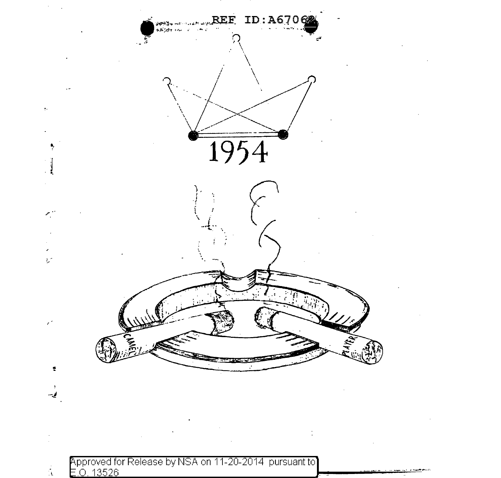

 $\frac{1}{4}$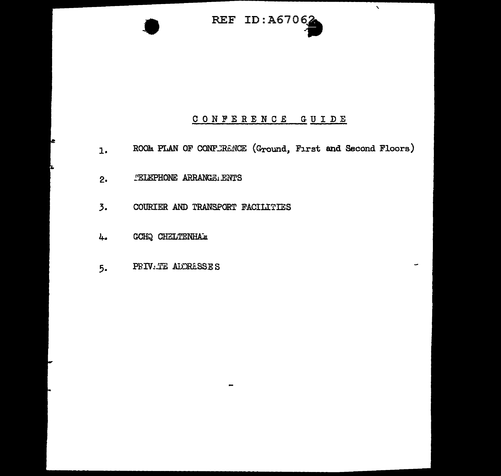

 $\bar{\mathbf{v}}$ 

# CONFERENCE GUIDE

- ROOM PLAN OF CONFURENCE (Ground, First and Second Floors)  $\mathbf{1}$ .
- TELEPHONE ARRANGE ENTS  $2.$
- $\overline{3}$ . COURIER AND TRANSPORT FACILITIES
- GCHQ CHELTENHAM 4.
- PRIV.TE ADDRESSES  $5.$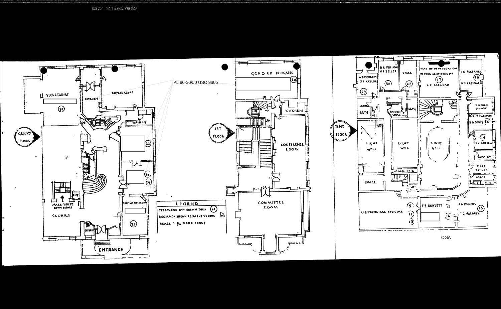

 $\langle 0.313327 \rangle \quad \langle 0.100 \rangle \langle 2.2336 \rangle \langle 0.06522 \rangle$ 

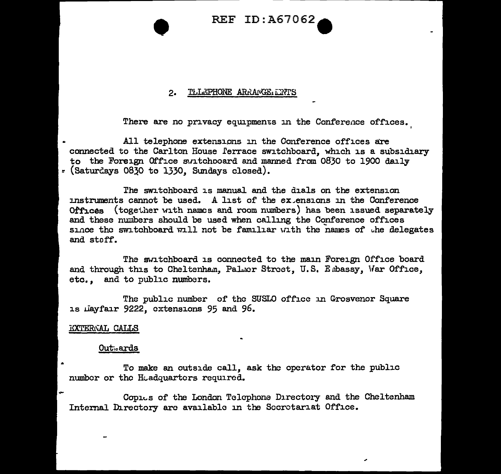REF ID:A67062

#### TLLEPHONE ARRANGE ENTS  $2.$

There are no privacy equipments in the Conference offices.

All telephone extensions in the Conference offices are connected to the Carlton House l'errace switchboard, which is a subsidiary to the Foreign Office m11tchooard and marmed from 0830 to 1900 daily *=* (SaturG..ays 0830 to 1330, Sundays closed).

l'he SWJ. tchboard is manual and the dials on the extension instruments cannot be used. A list of the  $ex$  ensions in the Conference Offices (together with names and room numbers) has been issued separately and these numbers should be used when calling the Conference offices since the switchboard will not be familiar with the names of the delegates and stoff.

The switchboard is connected to the main Foreign Office board and through this to Cheltenham. Palmer Street, U.S. Embassy, War Office, etc. , and to public numbers.

The public number of the SUSLO office in Grosvenor Square 1s Layfair 9222, extensions 95 and 96.

#### **EXTERNAL CALLS**

#### Out-.. ards

To make an outside call, ask the operator for the public number or the Headquarters required.

Copies of the London Telephone Directory and the Cheltenham Internal Directory arc available in the Secretariat Office.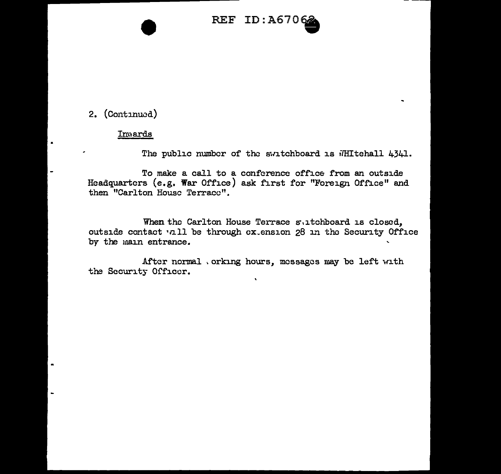

# 2. (Continued)

 $\blacksquare$ 

 $\blacksquare$ 

#### Invards

The public number of the switchboard is WHItehall 4341.

To make a call to a conference office from an outside Headquarters (e.g. War Office) ask first for "Foreign Office" and then "Carlton House Terrace".

When the Carlton House Terrace suitchboard is closed, outside contact vall be through cx.ension 28 in the Security Office by the main entrance.

 $\mathbf{v}$ 

After normal , orking hours, messages may be left with the Security Officer.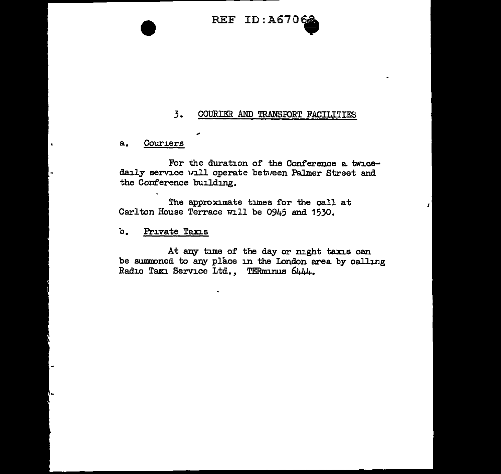REF ID:A6706

## 3. COURIER AND TRANSPORT FACILITIES

a. Couriers

×

For the duration of the Conference a twicedaily service will operate between Palmer Street and the Conference building.

The approximate times for the call at Carlton House Terrace will be 0945 and 1530.

b. Private Taxis

At any time of the day or night taxis can be summoned to any place in the Iondon area by calling Radio Taxi Service Ltd., TERminus 6444.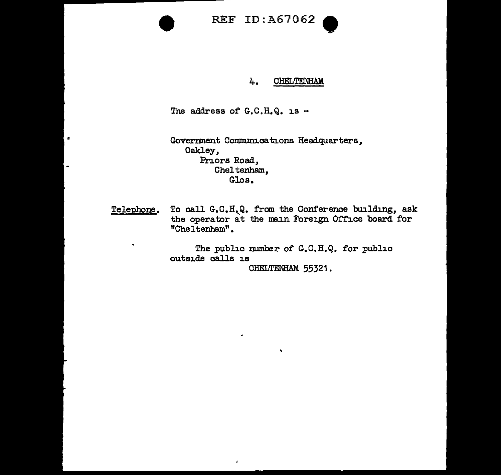# REF ID:A67062



### 4. CHELTENHAM

The address of  $G.C.H.Q.$  is -

 $\pmb{\cdot}$ 

Government Communications Headquarters, Oakley, Priors Road, Cheltenham, Glos.

Telephone. To call G.C.H.Q. from the Conference building, ask the operator at the main Foreign Office board for "Cheltenham".

> The public number of G.C.H.Q. for public outside calls is CHELTENHAM 55321.